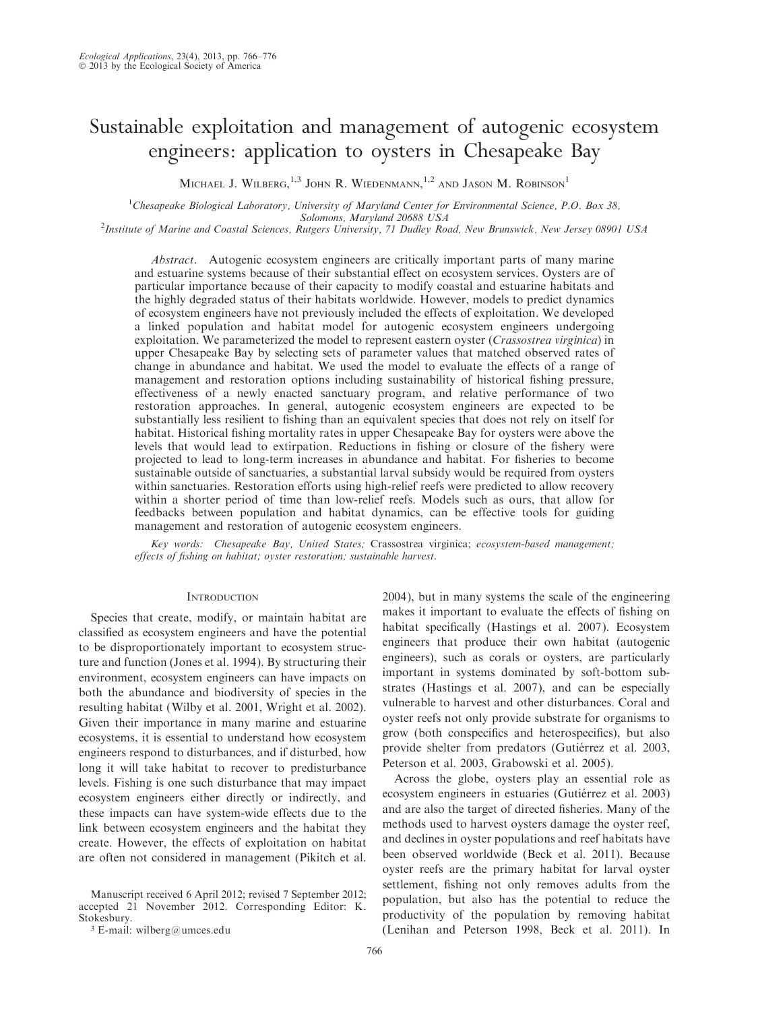# Sustainable exploitation and management of autogenic ecosystem engineers: application to oysters in Chesapeake Bay

MICHAEL J. WILBERG,  $^{1,3}$  JOHN R. WIEDENMANN,  $^{1,2}$  and Jason M. Robinson<sup>1</sup>

<sup>1</sup>Chesapeake Biological Laboratory, University of Maryland Center for Environmental Science, P.O. Box 38,

Solomons, Maryland 20688 USA<br>Institute of Marine and Coastal Sciences, Rutgers University, 71 Dudley Road, New Brunswick, New Jersey 08901 USA<sup>2</sup>

Abstract. Autogenic ecosystem engineers are critically important parts of many marine and estuarine systems because of their substantial effect on ecosystem services. Oysters are of particular importance because of their capacity to modify coastal and estuarine habitats and the highly degraded status of their habitats worldwide. However, models to predict dynamics of ecosystem engineers have not previously included the effects of exploitation. We developed a linked population and habitat model for autogenic ecosystem engineers undergoing exploitation. We parameterized the model to represent eastern oyster (Crassostrea virginica) in upper Chesapeake Bay by selecting sets of parameter values that matched observed rates of change in abundance and habitat. We used the model to evaluate the effects of a range of management and restoration options including sustainability of historical fishing pressure, effectiveness of a newly enacted sanctuary program, and relative performance of two restoration approaches. In general, autogenic ecosystem engineers are expected to be substantially less resilient to fishing than an equivalent species that does not rely on itself for habitat. Historical fishing mortality rates in upper Chesapeake Bay for oysters were above the levels that would lead to extirpation. Reductions in fishing or closure of the fishery were projected to lead to long-term increases in abundance and habitat. For fisheries to become sustainable outside of sanctuaries, a substantial larval subsidy would be required from oysters within sanctuaries. Restoration efforts using high-relief reefs were predicted to allow recovery within a shorter period of time than low-relief reefs. Models such as ours, that allow for feedbacks between population and habitat dynamics, can be effective tools for guiding management and restoration of autogenic ecosystem engineers.

Key words: Chesapeake Bay, United States; Crassostrea virginica; ecosystem-based management; effects of fishing on habitat; oyster restoration; sustainable harvest.

# **INTRODUCTION**

Species that create, modify, or maintain habitat are classified as ecosystem engineers and have the potential to be disproportionately important to ecosystem structure and function (Jones et al. 1994). By structuring their environment, ecosystem engineers can have impacts on both the abundance and biodiversity of species in the resulting habitat (Wilby et al. 2001, Wright et al. 2002). Given their importance in many marine and estuarine ecosystems, it is essential to understand how ecosystem engineers respond to disturbances, and if disturbed, how long it will take habitat to recover to predisturbance levels. Fishing is one such disturbance that may impact ecosystem engineers either directly or indirectly, and these impacts can have system-wide effects due to the link between ecosystem engineers and the habitat they create. However, the effects of exploitation on habitat are often not considered in management (Pikitch et al.

Manuscript received 6 April 2012; revised 7 September 2012; accepted 21 November 2012. Corresponding Editor: K. Stokesbury.

<sup>3</sup> E-mail: wilberg@umces.edu

2004), but in many systems the scale of the engineering makes it important to evaluate the effects of fishing on habitat specifically (Hastings et al. 2007). Ecosystem engineers that produce their own habitat (autogenic engineers), such as corals or oysters, are particularly important in systems dominated by soft-bottom substrates (Hastings et al. 2007), and can be especially vulnerable to harvest and other disturbances. Coral and oyster reefs not only provide substrate for organisms to grow (both conspecifics and heterospecifics), but also provide shelter from predators (Gutiérrez et al. 2003, Peterson et al. 2003, Grabowski et al. 2005).

Across the globe, oysters play an essential role as ecosystem engineers in estuaries (Gutiérrez et al. 2003) and are also the target of directed fisheries. Many of the methods used to harvest oysters damage the oyster reef, and declines in oyster populations and reef habitats have been observed worldwide (Beck et al. 2011). Because oyster reefs are the primary habitat for larval oyster settlement, fishing not only removes adults from the population, but also has the potential to reduce the productivity of the population by removing habitat (Lenihan and Peterson 1998, Beck et al. 2011). In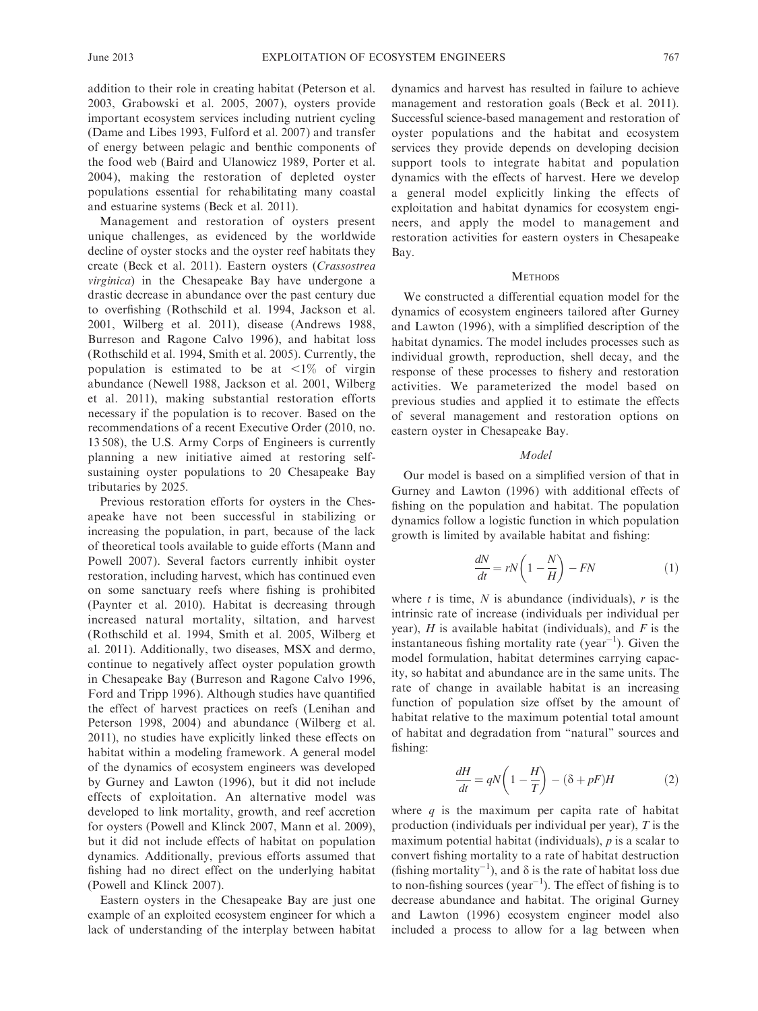addition to their role in creating habitat (Peterson et al. 2003, Grabowski et al. 2005, 2007), oysters provide important ecosystem services including nutrient cycling (Dame and Libes 1993, Fulford et al. 2007) and transfer of energy between pelagic and benthic components of the food web (Baird and Ulanowicz 1989, Porter et al. 2004), making the restoration of depleted oyster populations essential for rehabilitating many coastal and estuarine systems (Beck et al. 2011).

Management and restoration of oysters present unique challenges, as evidenced by the worldwide decline of oyster stocks and the oyster reef habitats they create (Beck et al. 2011). Eastern oysters (Crassostrea virginica) in the Chesapeake Bay have undergone a drastic decrease in abundance over the past century due to overfishing (Rothschild et al. 1994, Jackson et al. 2001, Wilberg et al. 2011), disease (Andrews 1988, Burreson and Ragone Calvo 1996), and habitat loss (Rothschild et al. 1994, Smith et al. 2005). Currently, the population is estimated to be at  $\langle 1 \rangle$  of virgin abundance (Newell 1988, Jackson et al. 2001, Wilberg et al. 2011), making substantial restoration efforts necessary if the population is to recover. Based on the recommendations of a recent Executive Order (2010, no. 13 508), the U.S. Army Corps of Engineers is currently planning a new initiative aimed at restoring selfsustaining oyster populations to 20 Chesapeake Bay tributaries by 2025.

Previous restoration efforts for oysters in the Chesapeake have not been successful in stabilizing or increasing the population, in part, because of the lack of theoretical tools available to guide efforts (Mann and Powell 2007). Several factors currently inhibit oyster restoration, including harvest, which has continued even on some sanctuary reefs where fishing is prohibited (Paynter et al. 2010). Habitat is decreasing through increased natural mortality, siltation, and harvest (Rothschild et al. 1994, Smith et al. 2005, Wilberg et al. 2011). Additionally, two diseases, MSX and dermo, continue to negatively affect oyster population growth in Chesapeake Bay (Burreson and Ragone Calvo 1996, Ford and Tripp 1996). Although studies have quantified the effect of harvest practices on reefs (Lenihan and Peterson 1998, 2004) and abundance (Wilberg et al. 2011), no studies have explicitly linked these effects on habitat within a modeling framework. A general model of the dynamics of ecosystem engineers was developed by Gurney and Lawton (1996), but it did not include effects of exploitation. An alternative model was developed to link mortality, growth, and reef accretion for oysters (Powell and Klinck 2007, Mann et al. 2009), but it did not include effects of habitat on population dynamics. Additionally, previous efforts assumed that fishing had no direct effect on the underlying habitat (Powell and Klinck 2007).

Eastern oysters in the Chesapeake Bay are just one example of an exploited ecosystem engineer for which a lack of understanding of the interplay between habitat dynamics and harvest has resulted in failure to achieve management and restoration goals (Beck et al. 2011). Successful science-based management and restoration of oyster populations and the habitat and ecosystem services they provide depends on developing decision support tools to integrate habitat and population dynamics with the effects of harvest. Here we develop a general model explicitly linking the effects of exploitation and habitat dynamics for ecosystem engineers, and apply the model to management and restoration activities for eastern oysters in Chesapeake Bay.

## **METHODS**

We constructed a differential equation model for the dynamics of ecosystem engineers tailored after Gurney and Lawton (1996), with a simplified description of the habitat dynamics. The model includes processes such as individual growth, reproduction, shell decay, and the response of these processes to fishery and restoration activities. We parameterized the model based on previous studies and applied it to estimate the effects of several management and restoration options on eastern oyster in Chesapeake Bay.

## Model

Our model is based on a simplified version of that in Gurney and Lawton (1996) with additional effects of fishing on the population and habitat. The population dynamics follow a logistic function in which population growth is limited by available habitat and fishing:

$$
\frac{dN}{dt} = rN\left(1 - \frac{N}{H}\right) - FN\tag{1}
$$

where t is time,  $N$  is abundance (individuals),  $r$  is the intrinsic rate of increase (individuals per individual per year),  $H$  is available habitat (individuals), and  $F$  is the instantaneous fishing mortality rate (year<sup>-1</sup>). Given the model formulation, habitat determines carrying capacity, so habitat and abundance are in the same units. The rate of change in available habitat is an increasing function of population size offset by the amount of habitat relative to the maximum potential total amount of habitat and degradation from ''natural'' sources and fishing:

$$
\frac{dH}{dt} = qN\left(1 - \frac{H}{T}\right) - (\delta + pF)H\tag{2}
$$

where  $q$  is the maximum per capita rate of habitat production (individuals per individual per year), T is the maximum potential habitat (individuals),  $p$  is a scalar to convert fishing mortality to a rate of habitat destruction (fishing mortality<sup>-1</sup>), and  $\delta$  is the rate of habitat loss due to non-fishing sources (year<sup>-1</sup>). The effect of fishing is to decrease abundance and habitat. The original Gurney and Lawton (1996) ecosystem engineer model also included a process to allow for a lag between when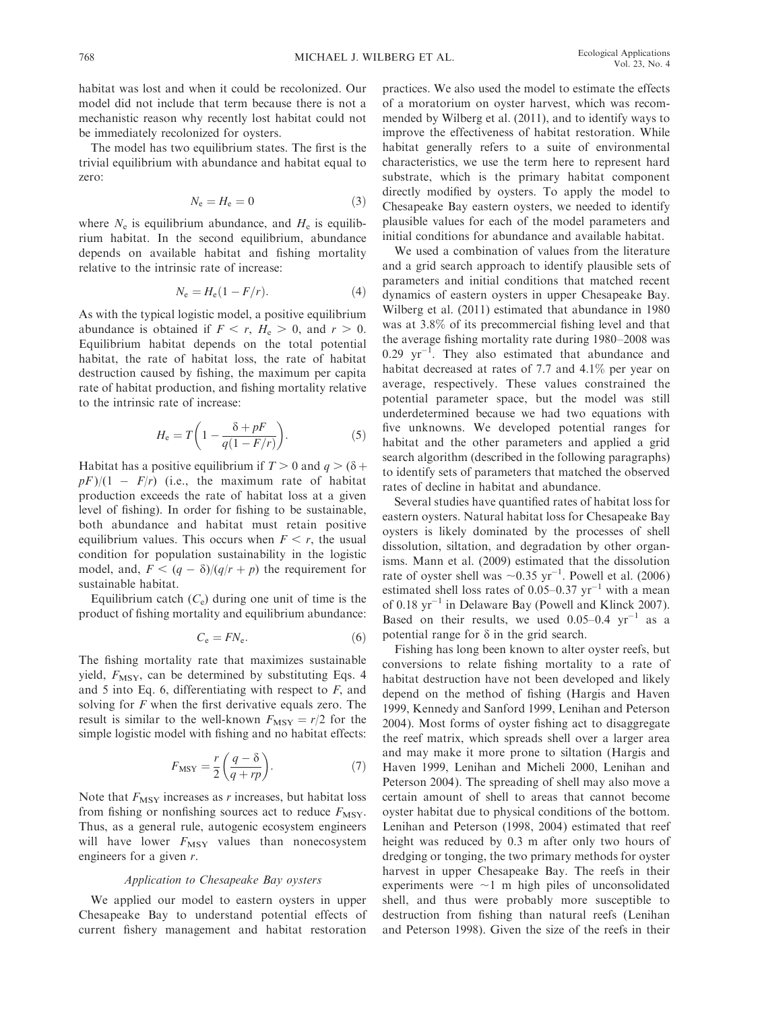habitat was lost and when it could be recolonized. Our model did not include that term because there is not a mechanistic reason why recently lost habitat could not be immediately recolonized for oysters.

The model has two equilibrium states. The first is the trivial equilibrium with abundance and habitat equal to zero:

$$
N_{\rm e} = H_{\rm e} = 0 \tag{3}
$$

where  $N_e$  is equilibrium abundance, and  $H_e$  is equilibrium habitat. In the second equilibrium, abundance depends on available habitat and fishing mortality relative to the intrinsic rate of increase:

$$
N_e = H_e(1 - F/r). \tag{4}
$$

As with the typical logistic model, a positive equilibrium abundance is obtained if  $F < r$ ,  $H_e > 0$ , and  $r > 0$ . Equilibrium habitat depends on the total potential habitat, the rate of habitat loss, the rate of habitat destruction caused by fishing, the maximum per capita rate of habitat production, and fishing mortality relative to the intrinsic rate of increase:

$$
H_{\rm e} = T \bigg( 1 - \frac{\delta + pF}{q(1 - F/r)} \bigg). \tag{5}
$$

Habitat has a positive equilibrium if  $T > 0$  and  $q > (\delta +$  $pF)/(1 - F/r)$  (i.e., the maximum rate of habitat production exceeds the rate of habitat loss at a given level of fishing). In order for fishing to be sustainable, both abundance and habitat must retain positive equilibrium values. This occurs when  $F < r$ , the usual condition for population sustainability in the logistic model, and,  $F < (q - \delta)/(q/r + p)$  the requirement for sustainable habitat.

Equilibrium catch  $(C_e)$  during one unit of time is the product of fishing mortality and equilibrium abundance:

$$
C_{\rm e} = FN_{\rm e}.\tag{6}
$$

The fishing mortality rate that maximizes sustainable yield,  $F_{\text{MSY}}$ , can be determined by substituting Eqs. 4 and 5 into Eq. 6, differentiating with respect to  $F$ , and solving for  $F$  when the first derivative equals zero. The result is similar to the well-known  $F_{\text{MSY}} = r/2$  for the simple logistic model with fishing and no habitat effects:

$$
F_{\text{MSY}} = \frac{r}{2} \left( \frac{q - \delta}{q + rp} \right). \tag{7}
$$

Note that  $F_{\text{MSY}}$  increases as r increases, but habitat loss from fishing or nonfishing sources act to reduce  $F_{\text{MSY}}$ . Thus, as a general rule, autogenic ecosystem engineers will have lower  $F_{\text{MSY}}$  values than nonecosystem engineers for a given r.

# Application to Chesapeake Bay oysters

We applied our model to eastern oysters in upper Chesapeake Bay to understand potential effects of current fishery management and habitat restoration practices. We also used the model to estimate the effects of a moratorium on oyster harvest, which was recommended by Wilberg et al. (2011), and to identify ways to improve the effectiveness of habitat restoration. While habitat generally refers to a suite of environmental characteristics, we use the term here to represent hard substrate, which is the primary habitat component directly modified by oysters. To apply the model to Chesapeake Bay eastern oysters, we needed to identify plausible values for each of the model parameters and initial conditions for abundance and available habitat.

We used a combination of values from the literature and a grid search approach to identify plausible sets of parameters and initial conditions that matched recent dynamics of eastern oysters in upper Chesapeake Bay. Wilberg et al. (2011) estimated that abundance in 1980 was at 3.8% of its precommercial fishing level and that the average fishing mortality rate during 1980–2008 was  $0.29 \text{ yr}^{-1}$ . They also estimated that abundance and habitat decreased at rates of 7.7 and 4.1% per year on average, respectively. These values constrained the potential parameter space, but the model was still underdetermined because we had two equations with five unknowns. We developed potential ranges for habitat and the other parameters and applied a grid search algorithm (described in the following paragraphs) to identify sets of parameters that matched the observed rates of decline in habitat and abundance.

Several studies have quantified rates of habitat loss for eastern oysters. Natural habitat loss for Chesapeake Bay oysters is likely dominated by the processes of shell dissolution, siltation, and degradation by other organisms. Mann et al. (2009) estimated that the dissolution rate of oyster shell was  $\sim 0.35$  yr<sup>-1</sup>. Powell et al. (2006) estimated shell loss rates of  $0.05-0.37$   $\text{yr}^{-1}$  with a mean of 0.18  $yr^{-1}$  in Delaware Bay (Powell and Klinck 2007). Based on their results, we used  $0.05-0.4$  yr<sup>-1</sup> as a potential range for  $\delta$  in the grid search.

Fishing has long been known to alter oyster reefs, but conversions to relate fishing mortality to a rate of habitat destruction have not been developed and likely depend on the method of fishing (Hargis and Haven 1999, Kennedy and Sanford 1999, Lenihan and Peterson 2004). Most forms of oyster fishing act to disaggregate the reef matrix, which spreads shell over a larger area and may make it more prone to siltation (Hargis and Haven 1999, Lenihan and Micheli 2000, Lenihan and Peterson 2004). The spreading of shell may also move a certain amount of shell to areas that cannot become oyster habitat due to physical conditions of the bottom. Lenihan and Peterson (1998, 2004) estimated that reef height was reduced by 0.3 m after only two hours of dredging or tonging, the two primary methods for oyster harvest in upper Chesapeake Bay. The reefs in their experiments were  $\sim$ 1 m high piles of unconsolidated shell, and thus were probably more susceptible to destruction from fishing than natural reefs (Lenihan and Peterson 1998). Given the size of the reefs in their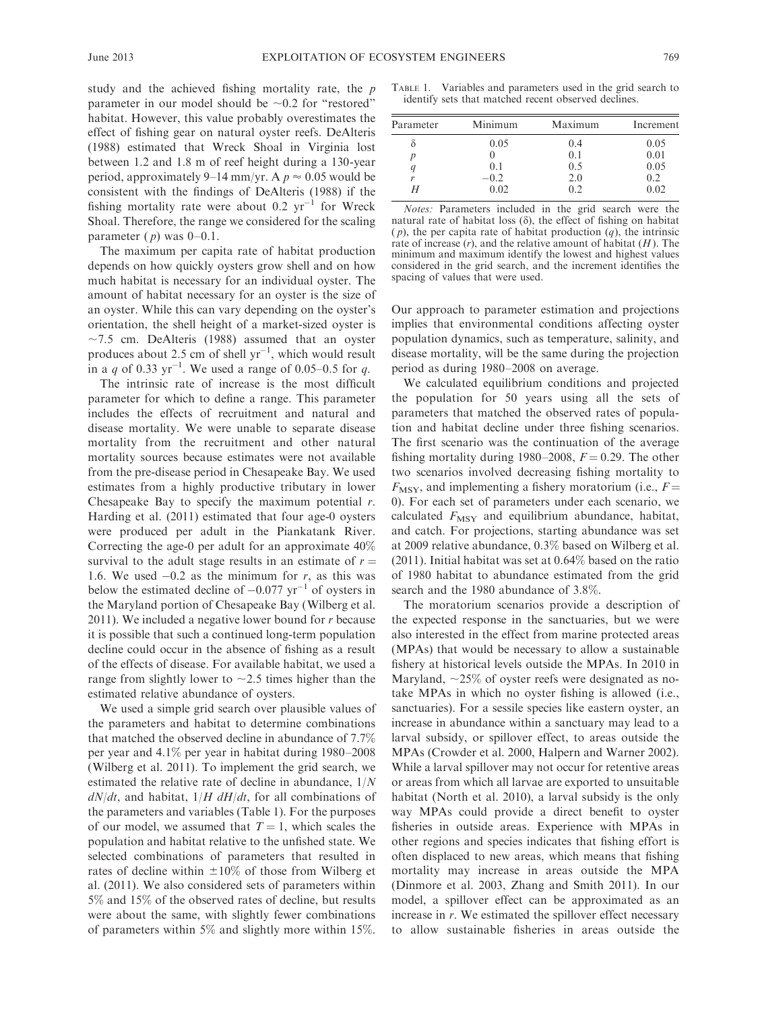study and the achieved fishing mortality rate, the  $p$ parameter in our model should be  $\sim 0.2$  for "restored" habitat. However, this value probably overestimates the effect of fishing gear on natural oyster reefs. DeAlteris (1988) estimated that Wreck Shoal in Virginia lost between 1.2 and 1.8 m of reef height during a 130-year period, approximately 9–14 mm/yr. A  $p \approx 0.05$  would be consistent with the findings of DeAlteris (1988) if the fishing mortality rate were about 0.2  $yr^{-1}$  for Wreck Shoal. Therefore, the range we considered for the scaling parameter  $(p)$  was  $0-0.1$ .

The maximum per capita rate of habitat production depends on how quickly oysters grow shell and on how much habitat is necessary for an individual oyster. The amount of habitat necessary for an oyster is the size of an oyster. While this can vary depending on the oyster's orientation, the shell height of a market-sized oyster is  $\sim$ 7.5 cm. DeAlteris (1988) assumed that an oyster produces about 2.5 cm of shell  $yr^{-1}$ , which would result in a q of 0.33  $yr^{-1}$ . We used a range of 0.05–0.5 for q.

The intrinsic rate of increase is the most difficult parameter for which to define a range. This parameter includes the effects of recruitment and natural and disease mortality. We were unable to separate disease mortality from the recruitment and other natural mortality sources because estimates were not available from the pre-disease period in Chesapeake Bay. We used estimates from a highly productive tributary in lower Chesapeake Bay to specify the maximum potential  $r$ . Harding et al. (2011) estimated that four age-0 oysters were produced per adult in the Piankatank River. Correcting the age-0 per adult for an approximate 40% survival to the adult stage results in an estimate of  $r =$ 1.6. We used  $-0.2$  as the minimum for r, as this was below the estimated decline of  $-0.077$   $\text{yr}^{-1}$  of oysters in the Maryland portion of Chesapeake Bay (Wilberg et al. 2011). We included a negative lower bound for  $r$  because it is possible that such a continued long-term population decline could occur in the absence of fishing as a result of the effects of disease. For available habitat, we used a range from slightly lower to  $\sim$  2.5 times higher than the estimated relative abundance of oysters.

We used a simple grid search over plausible values of the parameters and habitat to determine combinations that matched the observed decline in abundance of 7.7% per year and 4.1% per year in habitat during 1980–2008 (Wilberg et al. 2011). To implement the grid search, we estimated the relative rate of decline in abundance, 1/N  $dN/dt$ , and habitat,  $1/H \, dH/dt$ , for all combinations of the parameters and variables (Table 1). For the purposes of our model, we assumed that  $T = 1$ , which scales the population and habitat relative to the unfished state. We selected combinations of parameters that resulted in rates of decline within  $\pm 10\%$  of those from Wilberg et al. (2011). We also considered sets of parameters within 5% and 15% of the observed rates of decline, but results were about the same, with slightly fewer combinations of parameters within 5% and slightly more within 15%.

TABLE 1. Variables and parameters used in the grid search to identify sets that matched recent observed declines.

| Parameter | Minimum                         | Maximum                        | Increment                           |
|-----------|---------------------------------|--------------------------------|-------------------------------------|
| r         | 0.05<br>(0,1)<br>$-0.2$<br>0.02 | 0.4<br>0.1<br>0.5<br>2.0<br>02 | 0.05<br>0.01<br>0.05<br>0.2<br>0.02 |

Notes: Parameters included in the grid search were the natural rate of habitat loss  $(\delta)$ , the effect of fishing on habitat  $(p)$ , the per capita rate of habitat production  $(q)$ , the intrinsic rate of increase  $(r)$ , and the relative amount of habitat  $(H)$ . The minimum and maximum identify the lowest and highest values considered in the grid search, and the increment identifies the spacing of values that were used.

Our approach to parameter estimation and projections implies that environmental conditions affecting oyster population dynamics, such as temperature, salinity, and disease mortality, will be the same during the projection period as during 1980–2008 on average.

We calculated equilibrium conditions and projected the population for 50 years using all the sets of parameters that matched the observed rates of population and habitat decline under three fishing scenarios. The first scenario was the continuation of the average fishing mortality during 1980–2008,  $F = 0.29$ . The other two scenarios involved decreasing fishing mortality to  $F_{\text{MSY}}$ , and implementing a fishery moratorium (i.e.,  $F =$ 0). For each set of parameters under each scenario, we calculated  $F_{\text{MSY}}$  and equilibrium abundance, habitat, and catch. For projections, starting abundance was set at 2009 relative abundance, 0.3% based on Wilberg et al. (2011). Initial habitat was set at 0.64% based on the ratio of 1980 habitat to abundance estimated from the grid search and the 1980 abundance of 3.8%.

The moratorium scenarios provide a description of the expected response in the sanctuaries, but we were also interested in the effect from marine protected areas (MPAs) that would be necessary to allow a sustainable fishery at historical levels outside the MPAs. In 2010 in Maryland,  $\sim$ 25% of oyster reefs were designated as notake MPAs in which no oyster fishing is allowed (i.e., sanctuaries). For a sessile species like eastern oyster, an increase in abundance within a sanctuary may lead to a larval subsidy, or spillover effect, to areas outside the MPAs (Crowder et al. 2000, Halpern and Warner 2002). While a larval spillover may not occur for retentive areas or areas from which all larvae are exported to unsuitable habitat (North et al. 2010), a larval subsidy is the only way MPAs could provide a direct benefit to oyster fisheries in outside areas. Experience with MPAs in other regions and species indicates that fishing effort is often displaced to new areas, which means that fishing mortality may increase in areas outside the MPA (Dinmore et al. 2003, Zhang and Smith 2011). In our model, a spillover effect can be approximated as an increase in r. We estimated the spillover effect necessary to allow sustainable fisheries in areas outside the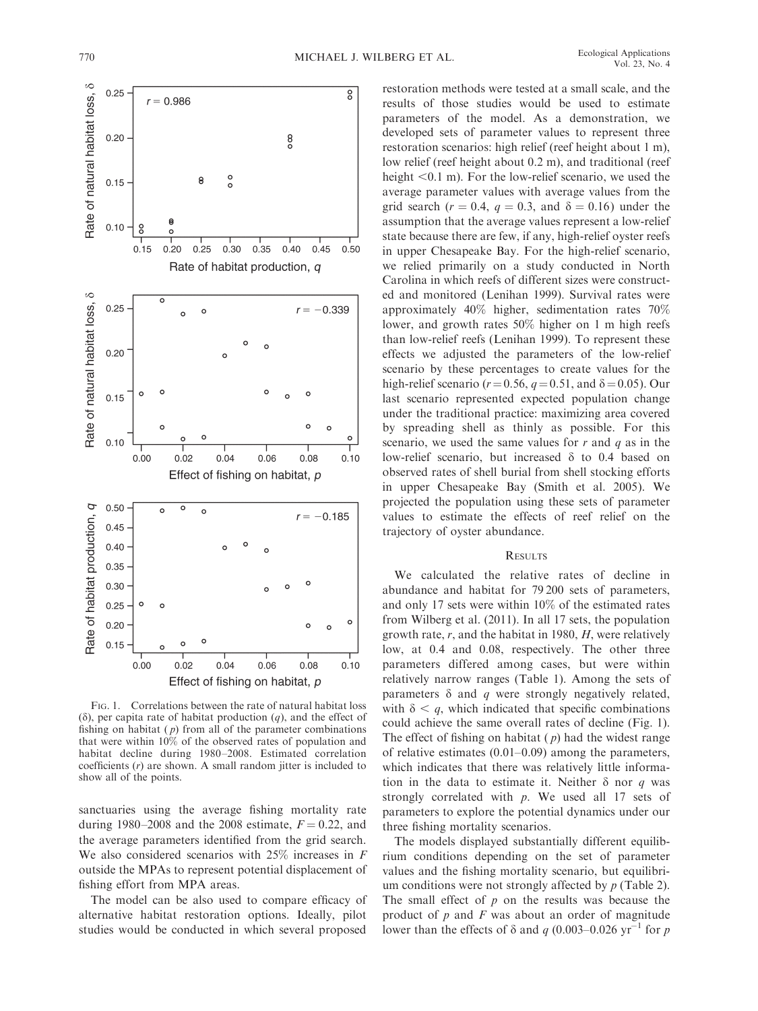

FIG. 1. Correlations between the rate of natural habitat loss  $(\delta)$ , per capita rate of habitat production  $(q)$ , and the effect of fishing on habitat  $(p)$  from all of the parameter combinations that were within 10% of the observed rates of population and habitat decline during 1980–2008. Estimated correlation coefficients  $(r)$  are shown. A small random jitter is included to show all of the points.

sanctuaries using the average fishing mortality rate during 1980–2008 and the 2008 estimate,  $F = 0.22$ , and the average parameters identified from the grid search. We also considered scenarios with  $25\%$  increases in F outside the MPAs to represent potential displacement of fishing effort from MPA areas.

The model can be also used to compare efficacy of alternative habitat restoration options. Ideally, pilot studies would be conducted in which several proposed

restoration methods were tested at a small scale, and the results of those studies would be used to estimate parameters of the model. As a demonstration, we developed sets of parameter values to represent three restoration scenarios: high relief (reef height about 1 m), low relief (reef height about 0.2 m), and traditional (reef height  $< 0.1$  m). For the low-relief scenario, we used the average parameter values with average values from the grid search ( $r = 0.4$ ,  $q = 0.3$ , and  $\delta = 0.16$ ) under the assumption that the average values represent a low-relief state because there are few, if any, high-relief oyster reefs in upper Chesapeake Bay. For the high-relief scenario, we relied primarily on a study conducted in North Carolina in which reefs of different sizes were constructed and monitored (Lenihan 1999). Survival rates were approximately 40% higher, sedimentation rates 70% lower, and growth rates 50% higher on 1 m high reefs than low-relief reefs (Lenihan 1999). To represent these effects we adjusted the parameters of the low-relief scenario by these percentages to create values for the high-relief scenario ( $r = 0.56$ ,  $q = 0.51$ , and  $\delta = 0.05$ ). Our last scenario represented expected population change under the traditional practice: maximizing area covered by spreading shell as thinly as possible. For this scenario, we used the same values for  $r$  and  $q$  as in the low-relief scenario, but increased  $\delta$  to 0.4 based on observed rates of shell burial from shell stocking efforts in upper Chesapeake Bay (Smith et al. 2005). We projected the population using these sets of parameter values to estimate the effects of reef relief on the trajectory of oyster abundance.

## **RESULTS**

We calculated the relative rates of decline in abundance and habitat for 79 200 sets of parameters, and only 17 sets were within 10% of the estimated rates from Wilberg et al. (2011). In all 17 sets, the population growth rate,  $r$ , and the habitat in 1980,  $H$ , were relatively low, at 0.4 and 0.08, respectively. The other three parameters differed among cases, but were within relatively narrow ranges (Table 1). Among the sets of parameters  $\delta$  and q were strongly negatively related, with  $\delta < q$ , which indicated that specific combinations could achieve the same overall rates of decline (Fig. 1). The effect of fishing on habitat  $(p)$  had the widest range of relative estimates (0.01–0.09) among the parameters, which indicates that there was relatively little information in the data to estimate it. Neither  $\delta$  nor q was strongly correlated with  $p$ . We used all 17 sets of parameters to explore the potential dynamics under our three fishing mortality scenarios.

The models displayed substantially different equilibrium conditions depending on the set of parameter values and the fishing mortality scenario, but equilibrium conditions were not strongly affected by  $p$  (Table 2). The small effect of  $p$  on the results was because the product of  $p$  and  $F$  was about an order of magnitude lower than the effects of  $\delta$  and q (0.003–0.026 yr<sup>-1</sup> for p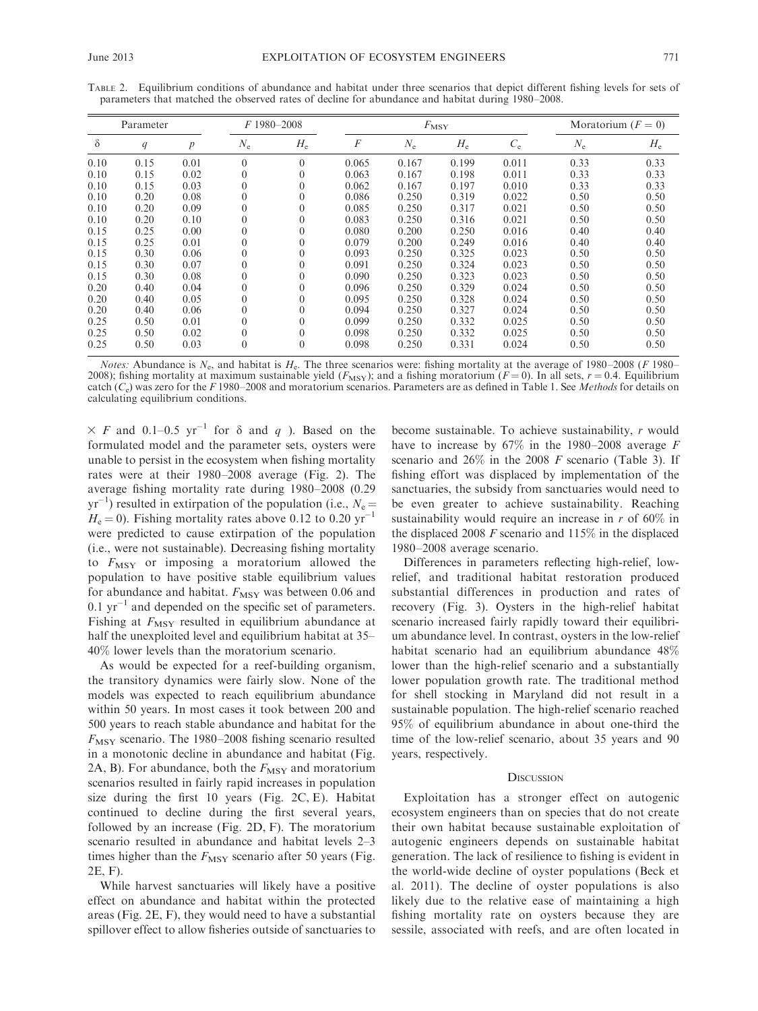| Parameter |      | $F1980 - 2008$   |             | $F_{\rm MSY}$ |          |             | Moratorium $(F = 0)$ |             |             |             |
|-----------|------|------------------|-------------|---------------|----------|-------------|----------------------|-------------|-------------|-------------|
| $\delta$  | q    | $\boldsymbol{p}$ | $N_{\rm e}$ | $H_{\rm e}$   | $\cal F$ | $N_{\rm e}$ | $H_{\rm e}$          | $C_{\rm e}$ | $N_{\rm e}$ | $H_{\rm e}$ |
| 0.10      | 0.15 | 0.01             | $\theta$    | $\theta$      | 0.065    | 0.167       | 0.199                | 0.011       | 0.33        | 0.33        |
| 0.10      | 0.15 | 0.02             | $\theta$    | $\theta$      | 0.063    | 0.167       | 0.198                | 0.011       | 0.33        | 0.33        |
| 0.10      | 0.15 | 0.03             | $\theta$    | 0             | 0.062    | 0.167       | 0.197                | 0.010       | 0.33        | 0.33        |
| 0.10      | 0.20 | 0.08             | 0           | $\theta$      | 0.086    | 0.250       | 0.319                | 0.022       | 0.50        | 0.50        |
| 0.10      | 0.20 | 0.09             | $\theta$    | 0             | 0.085    | 0.250       | 0.317                | 0.021       | 0.50        | 0.50        |
| 0.10      | 0.20 | 0.10             | $\theta$    |               | 0.083    | 0.250       | 0.316                | 0.021       | 0.50        | 0.50        |
| 0.15      | 0.25 | 0.00             | $\theta$    | 0             | 0.080    | 0.200       | 0.250                | 0.016       | 0.40        | 0.40        |
| 0.15      | 0.25 | 0.01             | 0           | 0             | 0.079    | 0.200       | 0.249                | 0.016       | 0.40        | 0.40        |
| 0.15      | 0.30 | 0.06             | $\theta$    | 0             | 0.093    | 0.250       | 0.325                | 0.023       | 0.50        | 0.50        |
| 0.15      | 0.30 | 0.07             | 0           | 0             | 0.091    | 0.250       | 0.324                | 0.023       | 0.50        | 0.50        |
| 0.15      | 0.30 | 0.08             | $\theta$    | $\Omega$      | 0.090    | 0.250       | 0.323                | 0.023       | 0.50        | 0.50        |
| 0.20      | 0.40 | 0.04             | $\theta$    | 0             | 0.096    | 0.250       | 0.329                | 0.024       | 0.50        | 0.50        |
| 0.20      | 0.40 | 0.05             | $\theta$    | $\theta$      | 0.095    | 0.250       | 0.328                | 0.024       | 0.50        | 0.50        |
| 0.20      | 0.40 | 0.06             | $\theta$    | 0             | 0.094    | 0.250       | 0.327                | 0.024       | 0.50        | 0.50        |
| 0.25      | 0.50 | 0.01             | $\theta$    |               | 0.099    | 0.250       | 0.332                | 0.025       | 0.50        | 0.50        |
| 0.25      | 0.50 | 0.02             | $\theta$    | 0             | 0.098    | 0.250       | 0.332                | 0.025       | 0.50        | 0.50        |
| 0.25      | 0.50 | 0.03             | $\theta$    | $\theta$      | 0.098    | 0.250       | 0.331                | 0.024       | 0.50        | 0.50        |

TABLE 2. Equilibrium conditions of abundance and habitat under three scenarios that depict different fishing levels for sets of parameters that matched the observed rates of decline for abundance and habitat during 1980–2008.

Notes: Abundance is  $N_e$ , and habitat is  $H_e$ . The three scenarios were: fishing mortality at the average of 1980–2008 (F 1980– 2008); fishing mortality at maximum sustainable yield  $(F_{\text{MSY}})$ ; and a fishing moratorium  $(F = 0)$ . In all sets,  $r = 0.4$ . Equilibrium catch  $(C_e)$  was zero for the F 1980–2008 and moratorium scenarios. Parameters are as defined in Table 1. See Methods for details on calculating equilibrium conditions.

 $\times$  F and 0.1–0.5 yr<sup>-1</sup> for  $\delta$  and q ). Based on the formulated model and the parameter sets, oysters were unable to persist in the ecosystem when fishing mortality rates were at their 1980–2008 average (Fig. 2). The average fishing mortality rate during 1980–2008 (0.29  $yr^{-1}$ ) resulted in extirpation of the population (i.e.,  $N_e =$  $H_e = 0$ ). Fishing mortality rates above 0.12 to 0.20 yr<sup>-1</sup> were predicted to cause extirpation of the population (i.e., were not sustainable). Decreasing fishing mortality to  $F_{\text{MSY}}$  or imposing a moratorium allowed the population to have positive stable equilibrium values for abundance and habitat.  $F_{\text{MSY}}$  was between 0.06 and  $0.1 \text{ yr}^{-1}$  and depended on the specific set of parameters. Fishing at  $F_{\text{MSY}}$  resulted in equilibrium abundance at half the unexploited level and equilibrium habitat at 35– 40% lower levels than the moratorium scenario.

As would be expected for a reef-building organism, the transitory dynamics were fairly slow. None of the models was expected to reach equilibrium abundance within 50 years. In most cases it took between 200 and 500 years to reach stable abundance and habitat for the  $F_{\text{MSY}}$  scenario. The 1980–2008 fishing scenario resulted in a monotonic decline in abundance and habitat (Fig. 2A, B). For abundance, both the  $F_{\text{MSY}}$  and moratorium scenarios resulted in fairly rapid increases in population size during the first 10 years (Fig. 2C, E). Habitat continued to decline during the first several years, followed by an increase (Fig. 2D, F). The moratorium scenario resulted in abundance and habitat levels 2–3 times higher than the  $F_{\text{MSY}}$  scenario after 50 years (Fig. 2E, F).

While harvest sanctuaries will likely have a positive effect on abundance and habitat within the protected areas (Fig. 2E, F), they would need to have a substantial spillover effect to allow fisheries outside of sanctuaries to become sustainable. To achieve sustainability, r would have to increase by  $67\%$  in the 1980–2008 average F scenario and  $26\%$  in the 2008 F scenario (Table 3). If fishing effort was displaced by implementation of the sanctuaries, the subsidy from sanctuaries would need to be even greater to achieve sustainability. Reaching sustainability would require an increase in  $r$  of 60% in the displaced 2008  $F$  scenario and 115% in the displaced 1980–2008 average scenario.

Differences in parameters reflecting high-relief, lowrelief, and traditional habitat restoration produced substantial differences in production and rates of recovery (Fig. 3). Oysters in the high-relief habitat scenario increased fairly rapidly toward their equilibrium abundance level. In contrast, oysters in the low-relief habitat scenario had an equilibrium abundance 48% lower than the high-relief scenario and a substantially lower population growth rate. The traditional method for shell stocking in Maryland did not result in a sustainable population. The high-relief scenario reached 95% of equilibrium abundance in about one-third the time of the low-relief scenario, about 35 years and 90 years, respectively.

#### **DISCUSSION**

Exploitation has a stronger effect on autogenic ecosystem engineers than on species that do not create their own habitat because sustainable exploitation of autogenic engineers depends on sustainable habitat generation. The lack of resilience to fishing is evident in the world-wide decline of oyster populations (Beck et al. 2011). The decline of oyster populations is also likely due to the relative ease of maintaining a high fishing mortality rate on oysters because they are sessile, associated with reefs, and are often located in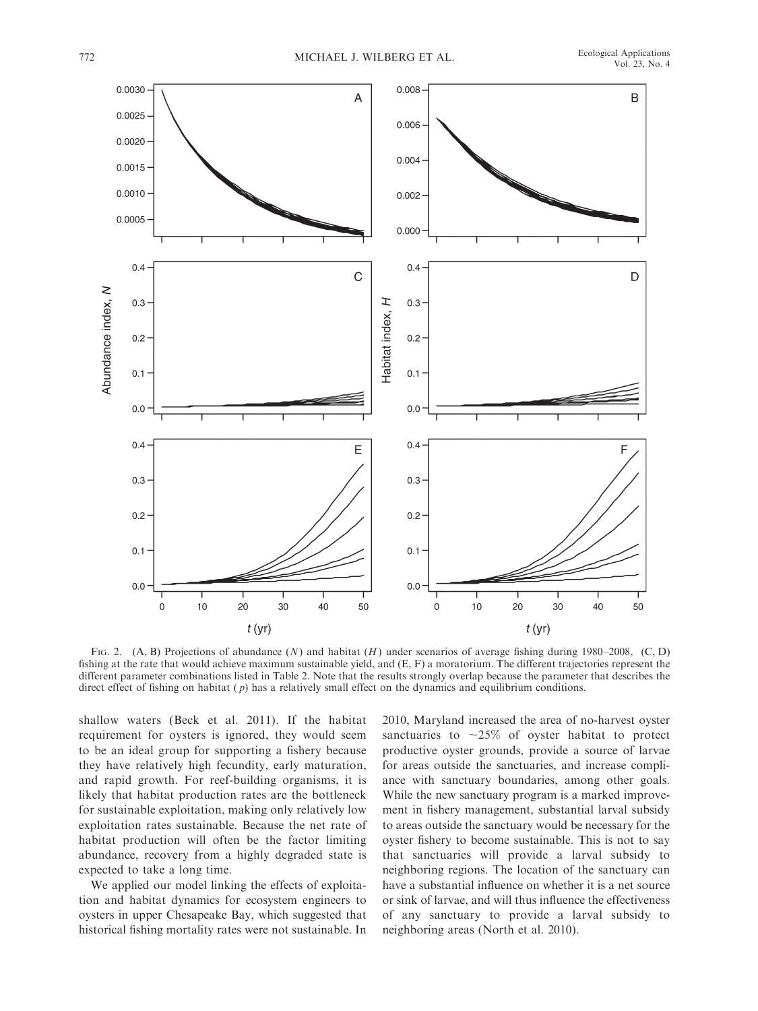

FIG. 2.  $(A, B)$  Projections of abundance (N) and habitat (H) under scenarios of average fishing during 1980–2008, (C, D) fishing at the rate that would achieve maximum sustainable yield, and (E, F) a moratorium. The different trajectories represent the different parameter combinations listed in Table 2. Note that the results strongly overlap because the parameter that describes the direct effect of fishing on habitat  $(p)$  has a relatively small effect on the dynamics and equilibrium conditions.

shallow waters (Beck et al. 2011). If the habitat requirement for oysters is ignored, they would seem to be an ideal group for supporting a fishery because they have relatively high fecundity, early maturation, and rapid growth. For reef-building organisms, it is likely that habitat production rates are the bottleneck for sustainable exploitation, making only relatively low exploitation rates sustainable. Because the net rate of habitat production will often be the factor limiting abundance, recovery from a highly degraded state is expected to take a long time.

We applied our model linking the effects of exploitation and habitat dynamics for ecosystem engineers to oysters in upper Chesapeake Bay, which suggested that historical fishing mortality rates were not sustainable. In 2010, Maryland increased the area of no-harvest oyster sanctuaries to  $\sim$ 25% of oyster habitat to protect productive oyster grounds, provide a source of larvae for areas outside the sanctuaries, and increase compliance with sanctuary boundaries, among other goals. While the new sanctuary program is a marked improvement in fishery management, substantial larval subsidy to areas outside the sanctuary would be necessary for the oyster fishery to become sustainable. This is not to say that sanctuaries will provide a larval subsidy to neighboring regions. The location of the sanctuary can have a substantial influence on whether it is a net source or sink of larvae, and will thus influence the effectiveness of any sanctuary to provide a larval subsidy to neighboring areas (North et al. 2010).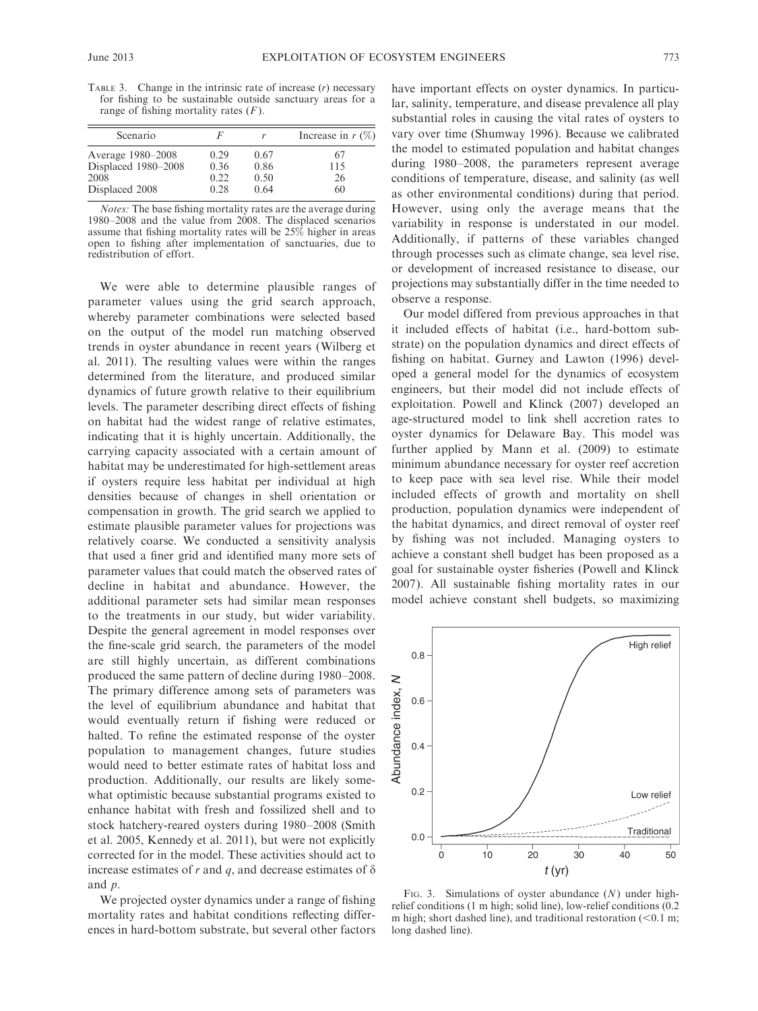TABLE 3. Change in the intrinsic rate of increase  $(r)$  necessary for fishing to be sustainable outside sanctuary areas for a range of fishing mortality rates  $(F)$ .

| Scenario                                                           |                              |                              | Increase in $r$ (%)   |
|--------------------------------------------------------------------|------------------------------|------------------------------|-----------------------|
| Average 1980-2008<br>Displaced 1980-2008<br>2008<br>Displaced 2008 | 0.29<br>0.36<br>0.22<br>0.28 | 0.67<br>0.86<br>0.50<br>0.64 | 67<br>115<br>26<br>60 |

Notes: The base fishing mortality rates are the average during 1980–2008 and the value from 2008. The displaced scenarios assume that fishing mortality rates will be  $25\%$  higher in areas open to fishing after implementation of sanctuaries, due to redistribution of effort.

We were able to determine plausible ranges of parameter values using the grid search approach, whereby parameter combinations were selected based on the output of the model run matching observed trends in oyster abundance in recent years (Wilberg et al. 2011). The resulting values were within the ranges determined from the literature, and produced similar dynamics of future growth relative to their equilibrium levels. The parameter describing direct effects of fishing on habitat had the widest range of relative estimates, indicating that it is highly uncertain. Additionally, the carrying capacity associated with a certain amount of habitat may be underestimated for high-settlement areas if oysters require less habitat per individual at high densities because of changes in shell orientation or compensation in growth. The grid search we applied to estimate plausible parameter values for projections was relatively coarse. We conducted a sensitivity analysis that used a finer grid and identified many more sets of parameter values that could match the observed rates of decline in habitat and abundance. However, the additional parameter sets had similar mean responses to the treatments in our study, but wider variability. Despite the general agreement in model responses over the fine-scale grid search, the parameters of the model are still highly uncertain, as different combinations produced the same pattern of decline during 1980–2008. The primary difference among sets of parameters was the level of equilibrium abundance and habitat that would eventually return if fishing were reduced or halted. To refine the estimated response of the oyster population to management changes, future studies would need to better estimate rates of habitat loss and production. Additionally, our results are likely somewhat optimistic because substantial programs existed to enhance habitat with fresh and fossilized shell and to stock hatchery-reared oysters during 1980–2008 (Smith et al. 2005, Kennedy et al. 2011), but were not explicitly corrected for in the model. These activities should act to increase estimates of r and q, and decrease estimates of  $\delta$ and p.

We projected oyster dynamics under a range of fishing mortality rates and habitat conditions reflecting differences in hard-bottom substrate, but several other factors have important effects on oyster dynamics. In particular, salinity, temperature, and disease prevalence all play substantial roles in causing the vital rates of oysters to vary over time (Shumway 1996). Because we calibrated the model to estimated population and habitat changes during 1980–2008, the parameters represent average conditions of temperature, disease, and salinity (as well as other environmental conditions) during that period. However, using only the average means that the variability in response is understated in our model. Additionally, if patterns of these variables changed through processes such as climate change, sea level rise, or development of increased resistance to disease, our projections may substantially differ in the time needed to observe a response.

Our model differed from previous approaches in that it included effects of habitat (i.e., hard-bottom substrate) on the population dynamics and direct effects of fishing on habitat. Gurney and Lawton (1996) developed a general model for the dynamics of ecosystem engineers, but their model did not include effects of exploitation. Powell and Klinck (2007) developed an age-structured model to link shell accretion rates to oyster dynamics for Delaware Bay. This model was further applied by Mann et al. (2009) to estimate minimum abundance necessary for oyster reef accretion to keep pace with sea level rise. While their model included effects of growth and mortality on shell production, population dynamics were independent of the habitat dynamics, and direct removal of oyster reef by fishing was not included. Managing oysters to achieve a constant shell budget has been proposed as a goal for sustainable oyster fisheries (Powell and Klinck 2007). All sustainable fishing mortality rates in our model achieve constant shell budgets, so maximizing



FIG. 3. Simulations of oyster abundance  $(N)$  under highrelief conditions (1 m high; solid line), low-relief conditions (0.2 m high; short dashed line), and traditional restoration  $(< 0.1$  m; long dashed line).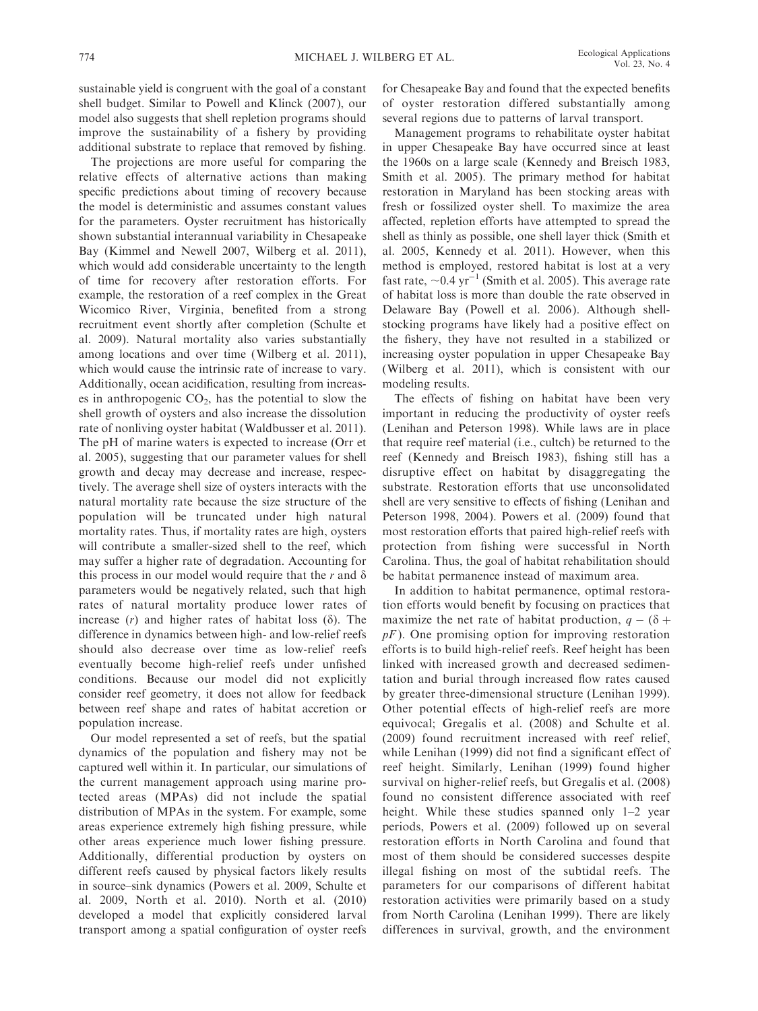sustainable yield is congruent with the goal of a constant shell budget. Similar to Powell and Klinck (2007), our model also suggests that shell repletion programs should improve the sustainability of a fishery by providing additional substrate to replace that removed by fishing.

The projections are more useful for comparing the relative effects of alternative actions than making specific predictions about timing of recovery because the model is deterministic and assumes constant values for the parameters. Oyster recruitment has historically shown substantial interannual variability in Chesapeake Bay (Kimmel and Newell 2007, Wilberg et al. 2011), which would add considerable uncertainty to the length of time for recovery after restoration efforts. For example, the restoration of a reef complex in the Great Wicomico River, Virginia, benefited from a strong recruitment event shortly after completion (Schulte et al. 2009). Natural mortality also varies substantially among locations and over time (Wilberg et al. 2011), which would cause the intrinsic rate of increase to vary. Additionally, ocean acidification, resulting from increases in anthropogenic  $CO<sub>2</sub>$ , has the potential to slow the shell growth of oysters and also increase the dissolution rate of nonliving oyster habitat (Waldbusser et al. 2011). The pH of marine waters is expected to increase (Orr et al. 2005), suggesting that our parameter values for shell growth and decay may decrease and increase, respectively. The average shell size of oysters interacts with the natural mortality rate because the size structure of the population will be truncated under high natural mortality rates. Thus, if mortality rates are high, oysters will contribute a smaller-sized shell to the reef, which may suffer a higher rate of degradation. Accounting for this process in our model would require that the r and  $\delta$ parameters would be negatively related, such that high rates of natural mortality produce lower rates of increase  $(r)$  and higher rates of habitat loss  $(\delta)$ . The difference in dynamics between high- and low-relief reefs should also decrease over time as low-relief reefs eventually become high-relief reefs under unfished conditions. Because our model did not explicitly consider reef geometry, it does not allow for feedback between reef shape and rates of habitat accretion or population increase.

Our model represented a set of reefs, but the spatial dynamics of the population and fishery may not be captured well within it. In particular, our simulations of the current management approach using marine protected areas (MPAs) did not include the spatial distribution of MPAs in the system. For example, some areas experience extremely high fishing pressure, while other areas experience much lower fishing pressure. Additionally, differential production by oysters on different reefs caused by physical factors likely results in source–sink dynamics (Powers et al. 2009, Schulte et al. 2009, North et al. 2010). North et al. (2010) developed a model that explicitly considered larval transport among a spatial configuration of oyster reefs

for Chesapeake Bay and found that the expected benefits of oyster restoration differed substantially among several regions due to patterns of larval transport.

Management programs to rehabilitate oyster habitat in upper Chesapeake Bay have occurred since at least the 1960s on a large scale (Kennedy and Breisch 1983, Smith et al. 2005). The primary method for habitat restoration in Maryland has been stocking areas with fresh or fossilized oyster shell. To maximize the area affected, repletion efforts have attempted to spread the shell as thinly as possible, one shell layer thick (Smith et al. 2005, Kennedy et al. 2011). However, when this method is employed, restored habitat is lost at a very fast rate,  $\sim$  0.4 yr<sup>-1</sup> (Smith et al. 2005). This average rate of habitat loss is more than double the rate observed in Delaware Bay (Powell et al. 2006). Although shellstocking programs have likely had a positive effect on the fishery, they have not resulted in a stabilized or increasing oyster population in upper Chesapeake Bay (Wilberg et al. 2011), which is consistent with our modeling results.

The effects of fishing on habitat have been very important in reducing the productivity of oyster reefs (Lenihan and Peterson 1998). While laws are in place that require reef material (i.e., cultch) be returned to the reef (Kennedy and Breisch 1983), fishing still has a disruptive effect on habitat by disaggregating the substrate. Restoration efforts that use unconsolidated shell are very sensitive to effects of fishing (Lenihan and Peterson 1998, 2004). Powers et al. (2009) found that most restoration efforts that paired high-relief reefs with protection from fishing were successful in North Carolina. Thus, the goal of habitat rehabilitation should be habitat permanence instead of maximum area.

In addition to habitat permanence, optimal restoration efforts would benefit by focusing on practices that maximize the net rate of habitat production,  $q - (\delta +$  $pF$ ). One promising option for improving restoration efforts is to build high-relief reefs. Reef height has been linked with increased growth and decreased sedimentation and burial through increased flow rates caused by greater three-dimensional structure (Lenihan 1999). Other potential effects of high-relief reefs are more equivocal; Gregalis et al. (2008) and Schulte et al. (2009) found recruitment increased with reef relief, while Lenihan (1999) did not find a significant effect of reef height. Similarly, Lenihan (1999) found higher survival on higher-relief reefs, but Gregalis et al. (2008) found no consistent difference associated with reef height. While these studies spanned only 1–2 year periods, Powers et al. (2009) followed up on several restoration efforts in North Carolina and found that most of them should be considered successes despite illegal fishing on most of the subtidal reefs. The parameters for our comparisons of different habitat restoration activities were primarily based on a study from North Carolina (Lenihan 1999). There are likely differences in survival, growth, and the environment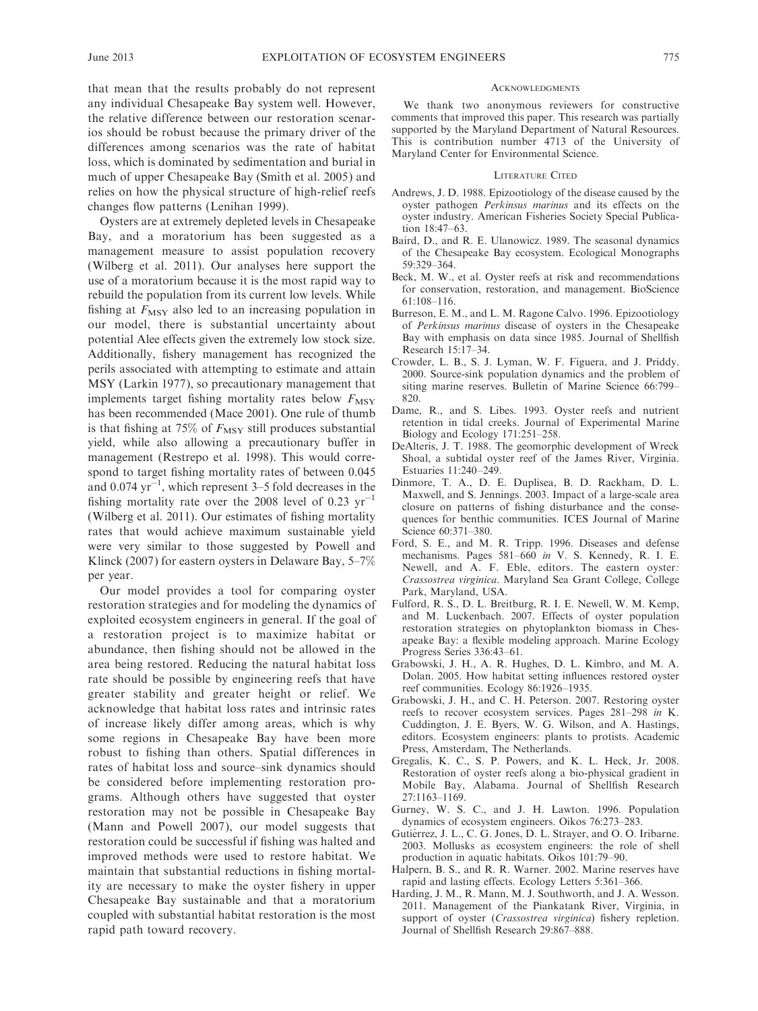that mean that the results probably do not represent any individual Chesapeake Bay system well. However, the relative difference between our restoration scenarios should be robust because the primary driver of the differences among scenarios was the rate of habitat loss, which is dominated by sedimentation and burial in much of upper Chesapeake Bay (Smith et al. 2005) and relies on how the physical structure of high-relief reefs changes flow patterns (Lenihan 1999).

Oysters are at extremely depleted levels in Chesapeake Bay, and a moratorium has been suggested as a management measure to assist population recovery (Wilberg et al. 2011). Our analyses here support the use of a moratorium because it is the most rapid way to rebuild the population from its current low levels. While fishing at  $F_{\text{MSY}}$  also led to an increasing population in our model, there is substantial uncertainty about potential Alee effects given the extremely low stock size. Additionally, fishery management has recognized the perils associated with attempting to estimate and attain MSY (Larkin 1977), so precautionary management that implements target fishing mortality rates below  $F_{\text{MSY}}$ has been recommended (Mace 2001). One rule of thumb is that fishing at 75% of  $F_{\text{MSY}}$  still produces substantial yield, while also allowing a precautionary buffer in management (Restrepo et al. 1998). This would correspond to target fishing mortality rates of between 0.045 and  $0.074 \text{ yr}^{-1}$ , which represent 3–5 fold decreases in the fishing mortality rate over the 2008 level of 0.23  $yr^{-1}$ (Wilberg et al. 2011). Our estimates of fishing mortality rates that would achieve maximum sustainable yield were very similar to those suggested by Powell and Klinck (2007) for eastern oysters in Delaware Bay, 5–7% per year.

Our model provides a tool for comparing oyster restoration strategies and for modeling the dynamics of exploited ecosystem engineers in general. If the goal of a restoration project is to maximize habitat or abundance, then fishing should not be allowed in the area being restored. Reducing the natural habitat loss rate should be possible by engineering reefs that have greater stability and greater height or relief. We acknowledge that habitat loss rates and intrinsic rates of increase likely differ among areas, which is why some regions in Chesapeake Bay have been more robust to fishing than others. Spatial differences in rates of habitat loss and source–sink dynamics should be considered before implementing restoration programs. Although others have suggested that oyster restoration may not be possible in Chesapeake Bay (Mann and Powell 2007), our model suggests that restoration could be successful if fishing was halted and improved methods were used to restore habitat. We maintain that substantial reductions in fishing mortality are necessary to make the oyster fishery in upper Chesapeake Bay sustainable and that a moratorium coupled with substantial habitat restoration is the most rapid path toward recovery.

#### **ACKNOWLEDGMENTS**

We thank two anonymous reviewers for constructive comments that improved this paper. This research was partially supported by the Maryland Department of Natural Resources. This is contribution number 4713 of the University of Maryland Center for Environmental Science.

### LITERATURE CITED

- Andrews, J. D. 1988. Epizootiology of the disease caused by the oyster pathogen Perkinsus marinus and its effects on the oyster industry. American Fisheries Society Special Publication 18:47–63.
- Baird, D., and R. E. Ulanowicz. 1989. The seasonal dynamics of the Chesapeake Bay ecosystem. Ecological Monographs 59:329–364.
- Beck, M. W., et al. Oyster reefs at risk and recommendations for conservation, restoration, and management. BioScience 61:108–116.
- Burreson, E. M., and L. M. Ragone Calvo. 1996. Epizootiology of Perkinsus marinus disease of oysters in the Chesapeake Bay with emphasis on data since 1985. Journal of Shellfish Research 15:17–34.
- Crowder, L. B., S. J. Lyman, W. F. Figuera, and J. Priddy. 2000. Source-sink population dynamics and the problem of siting marine reserves. Bulletin of Marine Science 66:799– 820.
- Dame, R., and S. Libes. 1993. Oyster reefs and nutrient retention in tidal creeks. Journal of Experimental Marine Biology and Ecology 171:251–258.
- DeAlteris, J. T. 1988. The geomorphic development of Wreck Shoal, a subtidal oyster reef of the James River, Virginia. Estuaries 11:240–249.
- Dinmore, T. A., D. E. Duplisea, B. D. Rackham, D. L. Maxwell, and S. Jennings. 2003. Impact of a large-scale area closure on patterns of fishing disturbance and the consequences for benthic communities. ICES Journal of Marine Science 60:371–380.
- Ford, S. E., and M. R. Tripp. 1996. Diseases and defense mechanisms. Pages 581–660 in V. S. Kennedy, R. I. E. Newell, and A. F. Eble, editors. The eastern oyster: Crassostrea virginica. Maryland Sea Grant College, College Park, Maryland, USA.
- Fulford, R. S., D. L. Breitburg, R. I. E. Newell, W. M. Kemp, and M. Luckenbach. 2007. Effects of oyster population restoration strategies on phytoplankton biomass in Chesapeake Bay: a flexible modeling approach. Marine Ecology Progress Series 336:43–61.
- Grabowski, J. H., A. R. Hughes, D. L. Kimbro, and M. A. Dolan. 2005. How habitat setting influences restored oyster reef communities. Ecology 86:1926–1935.
- Grabowski, J. H., and C. H. Peterson. 2007. Restoring oyster reefs to recover ecosystem services. Pages 281–298 in K. Cuddington, J. E. Byers, W. G. Wilson, and A. Hastings, editors. Ecosystem engineers: plants to protists. Academic Press, Amsterdam, The Netherlands.
- Gregalis, K. C., S. P. Powers, and K. L. Heck, Jr. 2008. Restoration of oyster reefs along a bio-physical gradient in Mobile Bay, Alabama. Journal of Shellfish Research 27:1163–1169.
- Gurney, W. S. C., and J. H. Lawton. 1996. Population dynamics of ecosystem engineers. Oikos 76:273–283.
- Gutiérrez, J. L., C. G. Jones, D. L. Strayer, and O. O. Iribarne. 2003. Mollusks as ecosystem engineers: the role of shell production in aquatic habitats. Oikos 101:79–90.
- Halpern, B. S., and R. R. Warner. 2002. Marine reserves have rapid and lasting effects. Ecology Letters 5:361–366.
- Harding, J. M., R. Mann, M. J. Southworth, and J. A. Wesson. 2011. Management of the Piankatank River, Virginia, in support of oyster (Crassostrea virginica) fishery repletion. Journal of Shellfish Research 29:867–888.